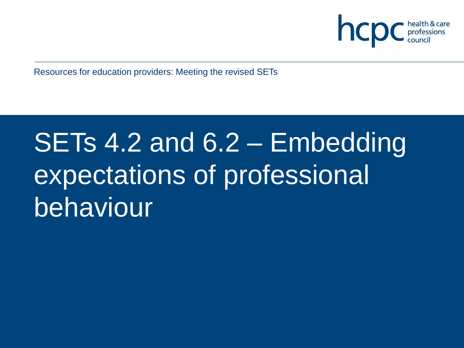

Resources for education providers: Meeting the revised SETs

# SETs 4.2 and 6.2 – Embedding expectations of professional behaviour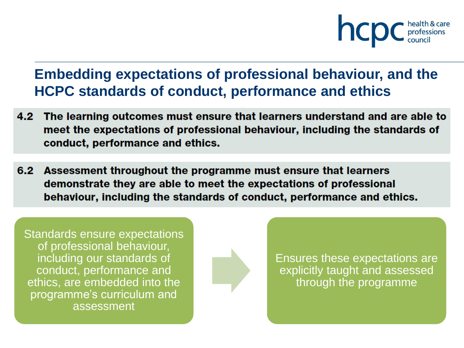

#### **Embedding expectations of professional behaviour, and the HCPC standards of conduct, performance and ethics**

- 4.2 The learning outcomes must ensure that learners understand and are able to meet the expectations of professional behaviour, including the standards of conduct, performance and ethics.
- 6.2 Assessment throughout the programme must ensure that learners demonstrate they are able to meet the expectations of professional behaviour, including the standards of conduct, performance and ethics.

Standards ensure expectations of professional behaviour, including our standards of conduct, performance and ethics, are embedded into the programme's curriculum and assessment



Ensures these expectations are explicitly taught and assessed through the programme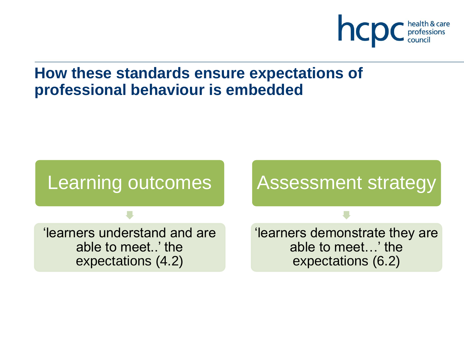

#### **How these standards ensure expectations of professional behaviour is embedded**

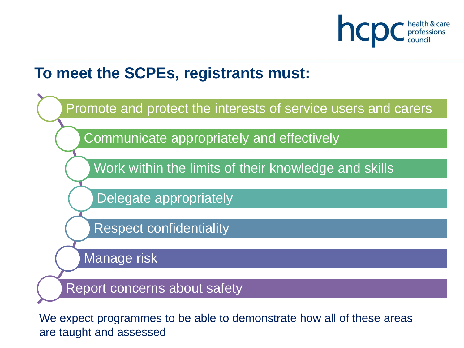

#### **To meet the SCPEs, registrants must:**



We expect programmes to be able to demonstrate how all of these areas are taught and assessed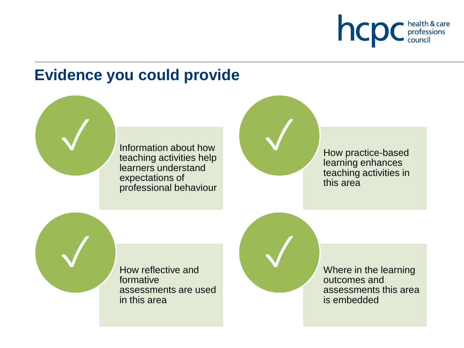

### **Evidence you could provide**

Information about how teaching activities help learners understand expectations of professional behaviour



✓

learning enhances teaching activities in this area

How reflective and formative assessments are used in this area

**V** Now reflective and Where in the learning outcomes and assessments this area is embedded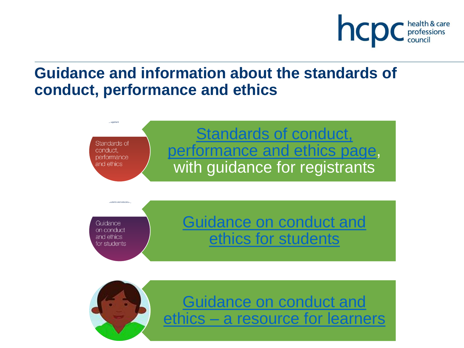

### **Guidance and information about the standards of conduct, performance and ethics**

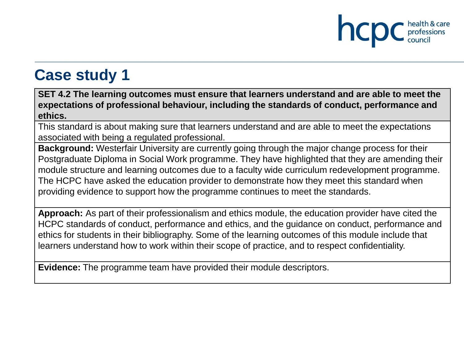

**SET 4.2 The learning outcomes must ensure that learners understand and are able to meet the expectations of professional behaviour, including the standards of conduct, performance and ethics.**

This standard is about making sure that learners understand and are able to meet the expectations associated with being a regulated professional.

**Background:** Westerfair University are currently going through the major change process for their Postgraduate Diploma in Social Work programme. They have highlighted that they are amending their module structure and learning outcomes due to a faculty wide curriculum redevelopment programme. The HCPC have asked the education provider to demonstrate how they meet this standard when providing evidence to support how the programme continues to meet the standards.

**Approach:** As part of their professionalism and ethics module, the education provider have cited the HCPC standards of conduct, performance and ethics, and the guidance on conduct, performance and ethics for students in their bibliography. Some of the learning outcomes of this module include that learners understand how to work within their scope of practice, and to respect confidentiality.

**Evidence:** The programme team have provided their module descriptors.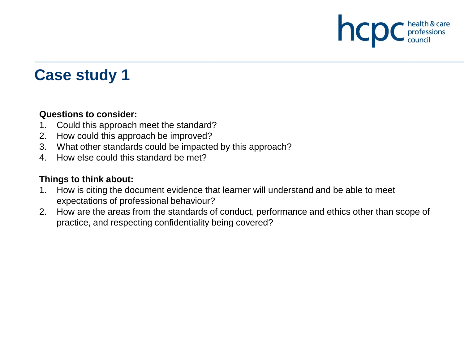

#### **Questions to consider:**

- 1. Could this approach meet the standard?
- 2. How could this approach be improved?
- 3. What other standards could be impacted by this approach?
- 4. How else could this standard be met?

#### **Things to think about:**

- 1. How is citing the document evidence that learner will understand and be able to meet expectations of professional behaviour?
- 2. How are the areas from the standards of conduct, performance and ethics other than scope of practice, and respecting confidentiality being covered?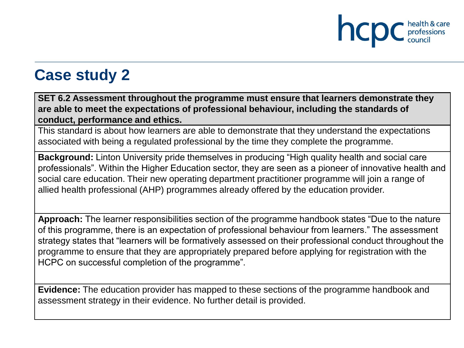

**SET 6.2 Assessment throughout the programme must ensure that learners demonstrate they are able to meet the expectations of professional behaviour, including the standards of conduct, performance and ethics.**

This standard is about how learners are able to demonstrate that they understand the expectations associated with being a regulated professional by the time they complete the programme.

**Background:** Linton University pride themselves in producing "High quality health and social care professionals". Within the Higher Education sector, they are seen as a pioneer of innovative health and social care education. Their new operating department practitioner programme will join a range of allied health professional (AHP) programmes already offered by the education provider.

**Approach:** The learner responsibilities section of the programme handbook states "Due to the nature of this programme, there is an expectation of professional behaviour from learners." The assessment strategy states that "learners will be formatively assessed on their professional conduct throughout the programme to ensure that they are appropriately prepared before applying for registration with the HCPC on successful completion of the programme".

**Evidence:** The education provider has mapped to these sections of the programme handbook and assessment strategy in their evidence. No further detail is provided.